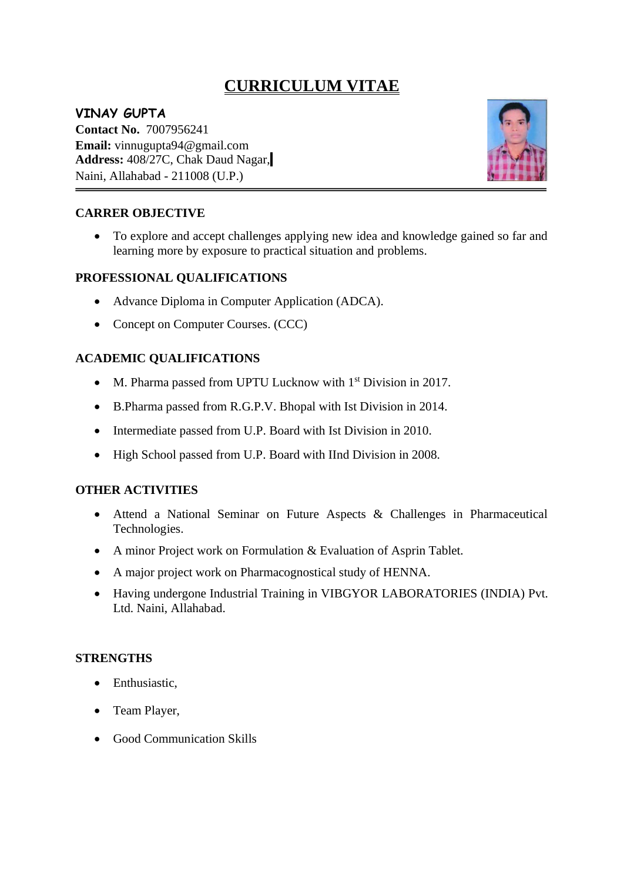# **CURRICULUM VITAE**

# **VINAY GUPTA**

**Contact No.** 7007956241 **Email:** vinnugupta94@gmail.com **Address:** 408/27C, Chak Daud Nagar, Naini, Allahabad - 211008 (U.P.)



#### **CARRER OBJECTIVE**

• To explore and accept challenges applying new idea and knowledge gained so far and learning more by exposure to practical situation and problems.

#### **PROFESSIONAL QUALIFICATIONS**

- Advance Diploma in Computer Application (ADCA).
- Concept on Computer Courses. (CCC)

#### **ACADEMIC QUALIFICATIONS**

- M. Pharma passed from UPTU Lucknow with 1<sup>st</sup> Division in 2017.
- B.Pharma passed from R.G.P.V. Bhopal with Ist Division in 2014.
- Intermediate passed from U.P. Board with Ist Division in 2010.
- High School passed from U.P. Board with IInd Division in 2008.

#### **OTHER ACTIVITIES**

- Attend a National Seminar on Future Aspects & Challenges in Pharmaceutical Technologies.
- A minor Project work on Formulation & Evaluation of Asprin Tablet.
- A major project work on Pharmacognostical study of HENNA.
- Having undergone Industrial Training in VIBGYOR LABORATORIES (INDIA) Pvt. Ltd. Naini, Allahabad.

#### **STRENGTHS**

- Enthusiastic.
- Team Player,
- Good Communication Skills